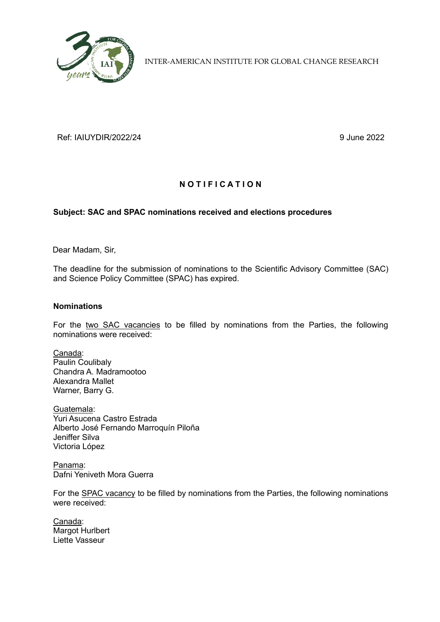

INTER-AMERICAN INSTITUTE FOR GLOBAL CHANGE RESEARCH

Ref: IAIUYDIR/2022/24 9 June 2022

# **N O T I F I C A T I O N**

## **Subject: SAC and SPAC nominations received and elections procedures**

Dear Madam, Sir,

The deadline for the submission of nominations to the Scientific Advisory Committee (SAC) and Science Policy Committee (SPAC) has expired.

### **Nominations**

For the two SAC vacancies to be filled by nominations from the Parties, the following nominations were received:

Canada: Paulin Coulibaly Chandra A. Madramootoo Alexandra Mallet Warner, Barry G.

Guatemala: Yuri Asucena Castro Estrada Alberto José Fernando Marroquín Piloña Jeniffer Silva Victoria López

Panama: Dafni Yeniveth Mora Guerra

For the **SPAC vacancy** to be filled by nominations from the Parties, the following nominations were received:

Canada: Margot Hurlbert Liette Vasseur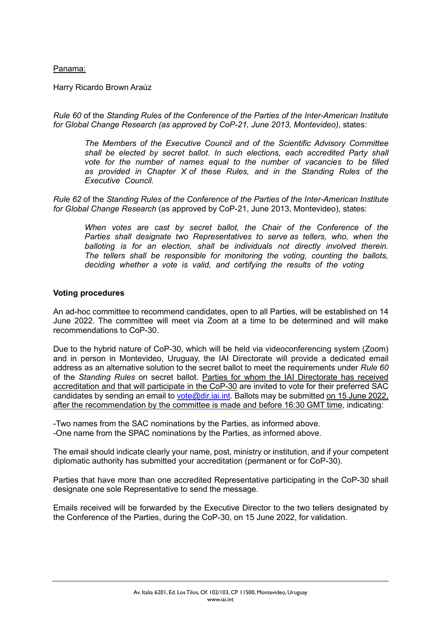### Panama:

Harry Ricardo Brown Araúz

*Rule 60* of the *Standing Rules of the Conference of the Parties of the Inter-American Institute for Global Change Research (as approved by CoP-21, June 2013, Montevideo)*, states:

*The Members of the Executive Council and of the Scientific Advisory Committee shall be elected by secret ballot. In such elections, each accredited Party shall vote for the number of names equal to the number of vacancies to be filled as provided in Chapter X of these Rules, and in the Standing Rules of the Executive Council.*

*Rule 62* of the *Standing Rules of the Conference of the Parties of the Inter-American Institute for Global Change Research* (as approved by CoP-21, June 2013, Montevideo), states:

*When votes are cast by secret ballot, the Chair of the Conference of the Parties shall designate two Representatives to serve as tellers, who, when the balloting is for an election, shall be individuals not directly involved therein. The tellers shall be responsible for monitoring the voting, counting the ballots, deciding whether a vote is valid, and certifying the results of the voting* 

#### **Voting procedures**

An ad-hoc committee to recommend candidates, open to all Parties, will be established on 14 June 2022. The committee will meet via Zoom at a time to be determined and will make recommendations to CoP-30.

Due to the hybrid nature of CoP-30, which will be held via videoconferencing system (Zoom) and in person in Montevideo, Uruguay, the IAI Directorate will provide a dedicated email address as an alternative solution to the secret ballot to meet the requirements under *Rule 60* of the *Standing Rules* on secret ballot. Parties for whom the IAI Directorate has received accreditation and that will participate in the CoP-30 are invited to vote for their preferred SAC candidates by sending an email to vote @dir.iai.int. Ballots may be submitted on 15 June 2022, after the recommendation by the committee is made and before 16:30 GMT time, indicating:

-Two names from the SAC nominations by the Parties, as informed above. -One name from the SPAC nominations by the Parties, as informed above.

The email should indicate clearly your name, post, ministry or institution, and if your competent diplomatic authority has submitted your accreditation (permanent or for CoP-30).

Parties that have more than one accredited Representative participating in the CoP-30 shall designate one sole Representative to send the message.

Emails received will be forwarded by the Executive Director to the two tellers designated by the Conference of the Parties, during the CoP-30, on 15 June 2022, for validation.